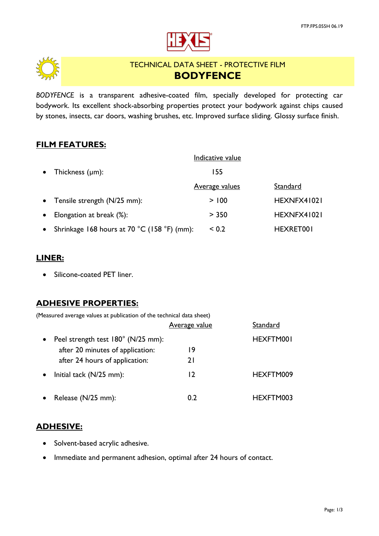



# TECHNICAL DATA SHEET - PROTECTIVE FILM **BODYFENCE**

*BODYFENCE* is a transparent adhesive-coated film, specially developed for protecting car bodywork. Its excellent shock-absorbing properties protect your bodywork against chips caused by stones, insects, car doors, washing brushes, etc. Improved surface sliding. Glossy surface finish.

### **FILM FEATURES:**

|           |                                             | Indicative value      |             |
|-----------|---------------------------------------------|-----------------------|-------------|
| $\bullet$ | Thickness $(\mu m)$ :                       | 155                   |             |
|           |                                             | <u>Average values</u> | Standard    |
|           | • Tensile strength $(N/25$ mm):             | > 100                 | HEXNFX41021 |
| $\bullet$ | Elongation at break (%):                    | > 350                 | HEXNFX41021 |
|           | Shrinkage 168 hours at 70 °C (158 °F) (mm): | ${}_{0.2}$            | HEXRET001   |

#### **LINER:**

• Silicone-coated PET liner.

# **ADHESIVE PROPERTIES:**

| (Measured average values at publication of the technical data sheet) |                      |           |
|----------------------------------------------------------------------|----------------------|-----------|
|                                                                      | <b>Average value</b> | Standard  |
| Peel strength test 180° (N/25 mm):                                   |                      | HEXFTM001 |
| after 20 minutes of application:                                     | 19                   |           |
| after 24 hours of application:                                       | 2 I                  |           |
| Initial tack (N/25 mm):                                              | 12                   | HEXFTM009 |
|                                                                      |                      |           |

Release (N/25 mm): 0.2 HEXFTM003

#### **ADHESIVE:**

- Solvent-based acrylic adhesive.
- Immediate and permanent adhesion, optimal after 24 hours of contact.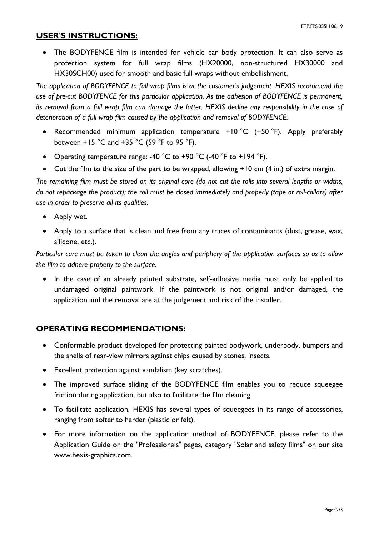#### **USER**'**S INSTRUCTIONS:**

• The BODYFENCE film is intended for vehicle car body protection. It can also serve as protection system for full wrap films (HX20000, non-structured HX30000 and HX30SCH00) used for smooth and basic full wraps without embellishment.

*The application of BODYFENCE to full wrap films is at the customer's judgement. HEXIS recommend the use of pre-cut BODYFENCE for this particular application. As the adhesion of BODYFENCE is permanent, its removal from a full wrap film can damage the latter. HEXIS decline any responsibility in the case of deterioration of a full wrap film caused by the application and removal of BODYFENCE.* 

- Recommended minimum application temperature +10 °C (+50 °F). Apply preferably between +15 °C and +35 °C (59 °F to 95 °F).
- Operating temperature range: -40  $^{\circ}$ C to +90  $^{\circ}$ C (-40  $^{\circ}$ F to +194  $^{\circ}$ F).
- Cut the film to the size of the part to be wrapped, allowing +10 cm (4 in.) of extra margin.

*The remaining film must be stored on its original core (do not cut the rolls into several lengths or widths, do not repackage the product); the roll must be closed immediately and properly (tape or roll-collars) after use in order to preserve all its qualities.* 

- Apply wet.
- Apply to a surface that is clean and free from any traces of contaminants (dust, grease, wax, silicone, etc.).

*Particular care must be taken to clean the angles and periphery of the application surfaces so as to allow the film to adhere properly to the surface.* 

• In the case of an already painted substrate, self-adhesive media must only be applied to undamaged original paintwork. If the paintwork is not original and/or damaged, the application and the removal are at the judgement and risk of the installer.

# **OPERATING RECOMMENDATIONS:**

- Conformable product developed for protecting painted bodywork, underbody, bumpers and the shells of rear-view mirrors against chips caused by stones, insects.
- Excellent protection against vandalism (key scratches).
- The improved surface sliding of the BODYFENCE film enables you to reduce squeegee friction during application, but also to facilitate the film cleaning.
- To facilitate application, HEXIS has several types of squeegees in its range of accessories, ranging from softer to harder (plastic or felt).
- For more information on the application method of BODYFENCE, please refer to the Application Guide on the "Professionals" pages, category "Solar and safety films" on our site www.hexis-graphics.com.